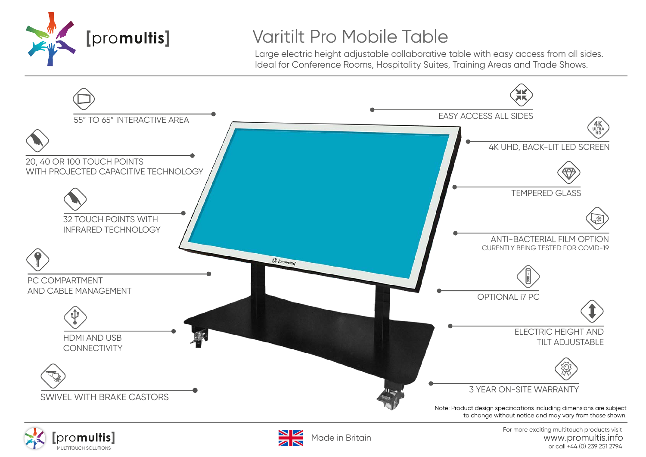

## Varitilt Pro Mobile Table

Large electric height adjustable collaborative table with easy access from all sides. Ideal for Conference Rooms, Hospitality Suites, Training Areas and Trade Shows.







For more exciting multitouch products visit www.promultis.info<br>or call +44 (0) 239 251 2794 MULTITOUCH SOLUTIONS COLLECTED SOLUTIONS CONTRACT AND SOLUTIONS OF CALL +44 (0) 239 251 2794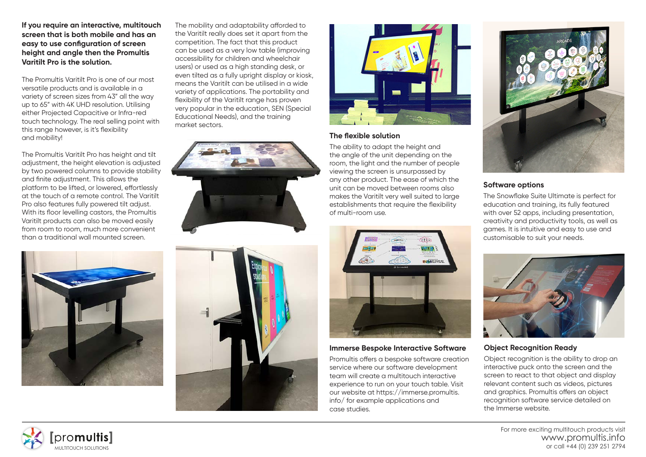**If you require an interactive, multitouch screen that is both mobile and has an easy to use configuration of screen height and angle then the Promultis Varitilt Pro is the solution.**

The Promultis Varitilt Pro is one of our most versatile products and is available in a variety of screen sizes from 43" all the way up to 65" with 4K UHD resolution. Utilising either Projected Capacitive or Infra-red touch technology. The real selling point with this range however, is it's flexibility and mobility!

The Promultis Varitilt Pro has height and tilt adjustment, the height elevation is adjusted by two powered columns to provide stability and finite adjustment. This allows the platform to be lifted, or lowered, effortlessly at the touch of a remote control. The Varitilt Pro also features fully powered tilt adjust. With its floor levelling castors, the Promultis Varitilt products can also be moved easily from room to room, much more convenient than a traditional wall mounted screen.

The mobility and adaptability afforded to the Varitilt really does set it apart from the competition. The fact that this product can be used as a very low table (improving accessibility for children and wheelchair users) or used as a high standing desk, or even tilted as a fully upright display or kiosk, means the Varitilt can be utilised in a wide variety of applications. The portability and flexibility of the Varitilt range has proven very popular in the education, SEN (Special Educational Needs), and the training market sectors.









#### **The flexible solution**

The ability to adapt the height and the angle of the unit depending on the room, the light and the number of people viewing the screen is unsurpassed by any other product. The ease of which the unit can be moved between rooms also makes the Varitilt very well suited to large establishments that require the flexibility of multi-room use.



### **Immerse Bespoke Interactive Software**

Promultis offers a bespoke software creation service where our software development team will create a multitouch interactive experience to run on your touch table. Visit our website at https://immerse.promultis. info/ for example applications and case studies.



## **Software options**

The Snowflake Suite Ultimate is perfect for education and training, its fully featured with over 52 apps, including presentation, creativity and productivity tools, as well as games. It is intuitive and easy to use and customisable to suit your needs.



### **Object Recognition Ready**

Object recognition is the ability to drop an interactive puck onto the screen and the screen to react to that object and display relevant content such as videos, pictures and graphics. Promultis offers an object recognition software service detailed on the Immerse website.



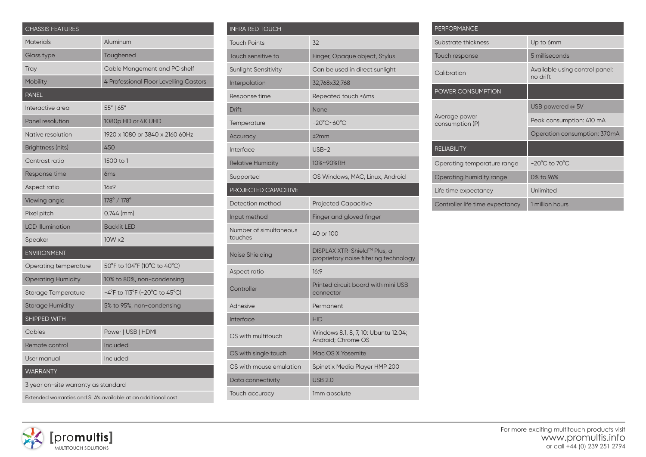| <b>CHASSIS FEATURES</b>                                       |                                                                          |  |
|---------------------------------------------------------------|--------------------------------------------------------------------------|--|
| <b>Materials</b>                                              | Aluminum                                                                 |  |
| Glass type                                                    | Toughened                                                                |  |
| Tray                                                          | Cable Mangement and PC shelf                                             |  |
| Mobility                                                      | 4 Professional Floor Levelling Castors                                   |  |
| <b>PANEL</b>                                                  |                                                                          |  |
| Interactive area                                              | 55"   65"                                                                |  |
| <b>Panel resolution</b>                                       | 1080p HD or 4K UHD                                                       |  |
| Native resolution                                             | 1920 x 1080 or 3840 x 2160 60Hz                                          |  |
| Brightness (nits)                                             | 450                                                                      |  |
| Contrast ratio                                                | 1500 to 1                                                                |  |
| Response time                                                 | 6 <sub>ms</sub>                                                          |  |
| Aspect ratio                                                  | 16x9                                                                     |  |
| Viewing angle                                                 | 178° / 178°                                                              |  |
| Pixel pitch                                                   | $0.744$ (mm)                                                             |  |
| <b>LCD Illumination</b>                                       | <b>Backlit LED</b>                                                       |  |
| Speaker                                                       | 10W x2                                                                   |  |
| <b>ENVIRONMENT</b>                                            |                                                                          |  |
| Operating temperature                                         | 50°F to 104°F (10°C to 40°C)                                             |  |
| <b>Operating Humidity</b>                                     | 10% to 80%, non-condensing                                               |  |
| <b>Storage Temperature</b>                                    | $-4^{\circ}$ F to 113 $^{\circ}$ F (-20 $^{\circ}$ C to 45 $^{\circ}$ C) |  |
| <b>Storage Humidity</b>                                       | 5% to 95%, non-condensing                                                |  |
| SHIPPED WITH                                                  |                                                                          |  |
| Cables                                                        | Power   USB   HDMI                                                       |  |
| Remote control                                                | Included                                                                 |  |
| User manual                                                   | Included                                                                 |  |
| <b>WARRANTY</b>                                               |                                                                          |  |
| 3 year on-site warranty as standard                           |                                                                          |  |
| Extended warranties and SLA's available at an additional cost |                                                                          |  |

| <b>INFRA RED TOUCH</b>            |                                                                       |  |
|-----------------------------------|-----------------------------------------------------------------------|--|
| <b>Touch Points</b>               | 32                                                                    |  |
| Touch sensitive to                | Finger, Opaque object, Stylus                                         |  |
| <b>Sunlight Sensitivity</b>       | Can be used in direct sunlight                                        |  |
| Interpolation                     | 32,768x32,768                                                         |  |
| Response time                     | Repeated touch <6ms                                                   |  |
| <b>Drift</b>                      | None                                                                  |  |
| Temperature                       | $-20^{\circ}$ C~60 $^{\circ}$ C                                       |  |
| Accuracy                          | ±2mm                                                                  |  |
| Interface                         | $USB-2$                                                               |  |
| <b>Relative Humidity</b>          | 10%~90%RH                                                             |  |
| Supported                         | OS Windows, MAC, Linux, Android                                       |  |
| <b>PROJECTED CAPACITIVE</b>       |                                                                       |  |
| Detection method                  | <b>Projected Capacitive</b>                                           |  |
| Input method                      | Finger and gloved finger                                              |  |
| Number of simultaneous<br>touches | 40 or 100                                                             |  |
| Noise Shielding                   | DISPLAX XTR-Shield™ Plus, a<br>proprietary noise filtering technology |  |
| Aspect ratio                      | 16:9                                                                  |  |
| Controller                        | Printed circuit board with mini USB<br>connector                      |  |
| Adhesive                          | Permanent                                                             |  |
| Interface                         | <b>HID</b>                                                            |  |
| OS with multitouch                | Windows 8.1, 8, 7, 10: Ubuntu 12.04;<br>Android: Chrome OS            |  |
| OS with single touch              | Mac OS X Yosemite                                                     |  |
| OS with mouse emulation           | Spinetix Media Player HMP 200                                         |  |
| Data connectivity                 | <b>USB 2.0</b>                                                        |  |
| Touch accuracy                    | 1mm absolute                                                          |  |

| <b>PERFORMANCE</b>               |                                            |
|----------------------------------|--------------------------------------------|
| Substrate thickness              | Up to 6mm                                  |
| Touch response                   | 5 milliseconds                             |
| Calibration                      | Available using control panel:<br>no drift |
| <b>POWER CONSUMPTION</b>         |                                            |
| Average power<br>consumption (P) | USB powered @ 5V                           |
|                                  | Peak consumption: 410 mA                   |
|                                  | Operation consumption: 370mA               |
| <b>RELIABILITY</b>               |                                            |
| Operating temperature range      | $-20^{\circ}$ C to $70^{\circ}$ C          |
| Operating humidity range         | 0% to 96%                                  |
| Life time expectancy             | Unlimited                                  |
| Controller life time expectancy  | 1 million hours                            |

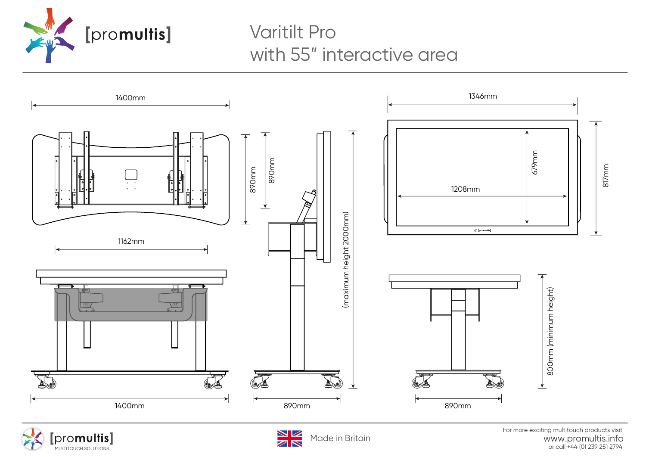

## Varitilt Pro with 55" interactive area







For more exciting multitouch products visit www.promultis.info promultis |<br>Made in Britain britain brows www.promultis.info<br>or call +44 (0) 239 251 2794<br>or call +44 (0) 239 251 2794